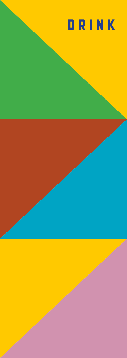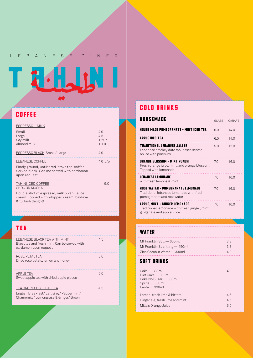LEBANESE DINER

TRAUNI

### coffee

| ESPRESSO + MILK                                                                                                               |                                |
|-------------------------------------------------------------------------------------------------------------------------------|--------------------------------|
| Small<br>Large<br>Soy milk<br>Almond milk                                                                                     | 4.0<br>4.5<br>$+60c$<br>$+1.0$ |
| <b>ESPRESSO BLACK Small / Large</b>                                                                                           | 4.0                            |
| LEBANESE COFFEE<br>Finely ground, unfiltered 'stove top' coffee.<br>Served black, Can me served with cardamon<br>upon request | 4.0 $p/p$                      |
| TAHINI ICED COFFEE<br>CHOC OR MOCHA<br>Double shot of espresso, milk & vanilla ice                                            | 9.0                            |

cream. Topped with whipped cream, baklava & turkish delight!

## tea

| LEBANESE BLACK TEA WITH MINT<br>Black tea and fresh mint. Can be served with<br>cardamon upon request     | 45 |
|-----------------------------------------------------------------------------------------------------------|----|
| ROSE PETAL TEA<br>Dried rose petals, lemon and honey                                                      | 50 |
| APPLE TEA<br>Sweet apple tea with dried apple pieces                                                      | 50 |
| TEA DROP LOOSE LEAF TEA<br>English Breakfast/Earl Grey/Peppermint/<br>Chamomile/Lemongrass & Ginger/Green | 45 |

### cold drinks

| <b>HOUSEMADE</b>                                                                                                  | GI ASS | CARAFF |
|-------------------------------------------------------------------------------------------------------------------|--------|--------|
| <b>HOUSE MADE POMEGRANATE + MINT ICED TEA</b>                                                                     | 60     | 140    |
| APPLE ICED TEA                                                                                                    | 6.0    | 140    |
| TRADITIONAL LEBANESE JALLAB<br>Lebanese smokey date mollasses served<br>on ice with pinenuts                      | 50     | 120    |
| <b>ORANGE BLOSSOM + MINT PUNCH</b><br>Fresh orange juice, mint, and orange blossom.<br>Topped with lemonade       | 70     | 16.0   |
| <b>LEBANESE LEMONADE</b><br>with fresh lemons & mint                                                              | 70     | 16.0   |
| <b>ROSE WATER + POMEGRANATE LEMONADE</b><br>Traditional lebanese lemonade with fresh<br>pomegranate and rosewater | 70     | 160    |
| APPLE, MINT + GINGER LEMONADE<br>Traditional lemonade with fresh ginger, mint<br>ginger ale and apple juice       | 7.0    | 16.0   |

#### **WATER**

| <b>SOFT DRINKS</b>             |     |
|--------------------------------|-----|
| Zico Coconut Water — 330ml     | 4 N |
| Mt Franklin Sparkling — 450 ml | 38  |
| Mt Franklin Still — 600ml      | 38  |
|                                |     |

| $Coke - 330ml$<br>Diet Coke $-330$ ml<br>Coke No Sugar - 330ml<br>Sprite - 330ml<br>Fanta - 330ml | 40  |
|---------------------------------------------------------------------------------------------------|-----|
| Lemon, fresh lime & bitters                                                                       | 4.5 |
| Ginger ale, fresh lime and mint                                                                   | 4.5 |
| Milla's Orange Juice                                                                              | 5.0 |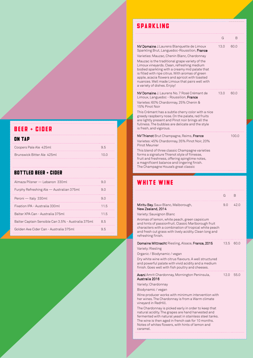## beer + cider

| ON | TAP |
|----|-----|

| Coopers Pale Ale 425ml     | 95   |
|----------------------------|------|
| Brunswick Bitter Ale 425mL | 10 Q |

#### bottled beer + cider

| Almaza Pilsner — Lebanon 330ml                     | 9 O  |
|----------------------------------------------------|------|
| Furphy Refreshing Ale — Australian 375ml           | 9 O  |
| Peroni - Italy 330ml                               | 9 O  |
| Fixation IPA - Australia 330ml                     | 11.5 |
| Balter XPA Can - Australia 375ml                   | 115  |
| Balter Captain Sensible Can 3.5% - Australia 375ml | 85   |
| Golden Axe Cider Can - Australia 375ml             | 9 h  |

# sparkling

|                                                                                                                                                                                                                                                                                                                                                                                                                                                                                          | G    | В     |
|------------------------------------------------------------------------------------------------------------------------------------------------------------------------------------------------------------------------------------------------------------------------------------------------------------------------------------------------------------------------------------------------------------------------------------------------------------------------------------------|------|-------|
| <b>NV Domaine</b> J.Laurens Blanquette de Limoux<br>Sparkling Brut, Languedoc-Roussilion, France<br>Varieties: Mauzac, Chenin Blanc, Chardonnay<br>Mauzac is the traditional grape variety of the<br>Limoux vineyards. Clean, refreshing medium<br>bodied sparkling with a creamy mid palate that<br>is filled with ripe citrus. With aromas of green<br>apple, acacia flowers and apricot with toasted<br>nuances. Well made Limoux that pairs well with<br>a variety of dishes. Enjoy! | 13.0 | 60.0  |
| NV Domaine J. Laurens No. 7 Rosé Crémant de<br>Limoux, Languedoc - Roussilion, France<br>Varietes: 60% Chardonnay, 25% Chenin &<br>15% Pinot Noir<br>This Crémant has a subtle cherry color with a nice<br>greedy raspberry nose. On the palate, red fruits<br>are lightly present and Pinot noir brings all the<br>fullness. The bubbles are delicate and the style<br>is fresh, and vigorous.                                                                                          | 13.0 | 60.0  |
| <b>NV Thienot</b> Brut Champagne, Reims, France<br>Varietes: 45% Chardonnay, 35% Pinot Noir, 20%<br>Pinot Meunier<br>This blend of three classic Champagne varieties<br>forms a signature Thienot style of fiinesse,<br>fruit and freshness, offering spingtime notes,<br>a magnificent balance and lingering finish.<br>The Champagne House's great classic                                                                                                                             |      | 100.0 |

## white wine

|                                                                                                                                                                                                                                                                                                                                                                                                                                                                                                                                              | G    | B    |
|----------------------------------------------------------------------------------------------------------------------------------------------------------------------------------------------------------------------------------------------------------------------------------------------------------------------------------------------------------------------------------------------------------------------------------------------------------------------------------------------------------------------------------------------|------|------|
| <b>Miritu Bay</b> , Sauv Blanc, Malborough,<br>New Zealand, 2014<br>Variety: Sauvignon Blanc<br>Aromas of lemon, white peach, green capsicum<br>and hints of passionfruit. Classic Marlborough fruit<br>characters with a combination of tropical white peach<br>and fresh cut grass with lively acidity. Clean long and<br>refreshing finish.                                                                                                                                                                                               | 9.0  | 42.0 |
| Domaine Mittnacht Riesling, Alsace, France, 2015<br>Variety: Riesling<br>Organic / Biodynamic / vegan<br>Dry white wine with citrus flavours. A well structured<br>and powerful palate with vivid acidity and a medium<br>finish. Goes well with fish poultry and cheeses.                                                                                                                                                                                                                                                                   | 13.5 | 60.0 |
| Avani Amrit Chardonnay, Mornington Peninsula,<br>Australia 2016<br>Variety: Chardonnay<br>Biodynamic / vegan<br>Wine producer works with minimum intervention with<br>her wines. The Chardonnay is from a Warm climate<br>vineyard in RedHill.<br>The Chardonnay is picked early in order to keep that<br>natural acidity. The grapes are hand harvested and<br>fermented with natural yeast in stainless steel tanks.<br>The wine is then aged in french oak for 10 months.<br>Notes of whites flowers, with hints of lemon and<br>caramel. | 12.0 | 55.0 |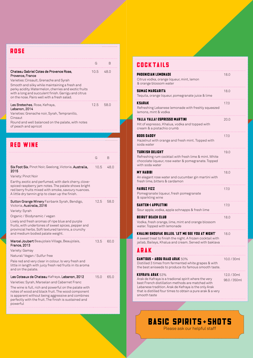| <b>ROSE</b>                                                                                                                                                                                                                                                                                                              |      |      |  |
|--------------------------------------------------------------------------------------------------------------------------------------------------------------------------------------------------------------------------------------------------------------------------------------------------------------------------|------|------|--|
|                                                                                                                                                                                                                                                                                                                          | G    | B    |  |
| Chateau Gabriel Cotes de Provence Rose.<br>Provence, France<br>Varieties: Cinsault, Grenache and Syrah<br>Smooth and silky while maintaining a fresh and<br>perky acidity. Watermelon, cherries and exotic fruits<br>with a long and succulent finish. Garrigu and citrus<br>on the nose. Pairs well with a fresh salad. | 10.5 | 48.0 |  |
| Les Breteches, Rose, Kefraya,<br>Lebanon, 2014<br>Varieties: Grenache noir, Syrah, Tempranillo,<br>Cinsaut                                                                                                                                                                                                               | 12.5 | 58.0 |  |

Round and well balanced on the palate, with notes of peach and apricot

| RED WINE                                                                                                                                                                                                                                                                                                                                |      |      |
|-----------------------------------------------------------------------------------------------------------------------------------------------------------------------------------------------------------------------------------------------------------------------------------------------------------------------------------------|------|------|
|                                                                                                                                                                                                                                                                                                                                         | G    | В    |
| Six Foot Six, Pinot Noir, Geelong, Victoria, Australia,<br>2015<br>Variety: Pinot Noir<br>Earthy, exotic and perfumed, with dark cherry, clove-<br>spiced raspberry jam notes. The palate shows bright<br>red berry fruits mixed with smoke, savoury nuances.<br>A little dry tannin grip to clean up the finish.                       | 10.5 | 48.0 |
| Sutton Grange Winery Fairbank Syrah, Bendigo,<br>Victoria, Australia, 2016<br>Variety: Syrah<br>Organic / Biodynamic / vegan<br>Lively and fresh aromas of ripe blue and purple<br>fruits, with undertones of sweet spices, pepper and<br>provincial herbs. Soft textured tannins, a crunchy<br>and medium bodied palate weight.        | 12.5 | 58.0 |
| Marcel Joubert Beaujolais Village, Beaujolais,<br><b>France, 2013</b><br>Variety: Gamay<br>Natural/Vegan / Sulfur free<br>Pale red and very clear in colour. Is very fresh and<br>little in length with juicy fresh red fruits in its aroma<br>and on the palate.                                                                       | 13.5 | 60.0 |
| Les Coteaux de Chateau Kafraya, Lebanon, 2012<br>Varieties: Syrah, Marselan and Cabernet Franc<br>The wine is full, rich and powerful on the palate with<br>notes of wood and black fruit. The wood component<br>is apparent without being aggressive and combines<br>perfectly with the fruit. The finish is sustained and<br>powerful | 15.0 | 65.0 |

### cocktails

| PHOENICIAN LEMONADE<br>Citrus vodka, orange liqueur, mint, lemon                                                                                                                                                                                 | 18.0         |
|--------------------------------------------------------------------------------------------------------------------------------------------------------------------------------------------------------------------------------------------------|--------------|
| & orange blossom water                                                                                                                                                                                                                           |              |
| <b>SUMAC MARGARITA</b><br>Tequila, orange liqueur, pomegranate juice & lime                                                                                                                                                                      | 18.0         |
| <b>KSARAK</b>                                                                                                                                                                                                                                    | 17.0         |
| Refreshing Lebanese lemonade with freshly squeezed<br>lemons, mint & vodka                                                                                                                                                                       |              |
| YALLA YALLA! ESPRESSO MARTINI                                                                                                                                                                                                                    | 20.0         |
| Hit of espresso, Khalua, vodka and topped with<br>cream & a pistachio crumb                                                                                                                                                                      |              |
| BOOS DADDY                                                                                                                                                                                                                                       | 17.0         |
| Hazelnut with orange and fresh mint. Topped with<br>soda water                                                                                                                                                                                   |              |
| TURKISH DELIGHT                                                                                                                                                                                                                                  | 19.0         |
| Refreshing rum cocktail with fresh lime & mint. White<br>chocolate liqueur, rose water & pomegranate. Topped                                                                                                                                     |              |
| with soda water                                                                                                                                                                                                                                  |              |
| <b>MY HABIBI</b>                                                                                                                                                                                                                                 | 18.0         |
| An elegant rose water and cucumber gin martini with                                                                                                                                                                                              |              |
| fresh lime, bitters & cardamon                                                                                                                                                                                                                   |              |
| <b>FAIRUZ FIZZ</b>                                                                                                                                                                                                                               | 17.0         |
| Pomegranate liqueur, fresh pomegranate<br>& sparkling wine                                                                                                                                                                                       |              |
| <b>SAHTEN-I APPLETINI</b>                                                                                                                                                                                                                        | 17.0         |
| Sour apple, vodka, apple schnapps & fresh lime                                                                                                                                                                                                   |              |
| <b>BEIRUT BEACH CLUB</b>                                                                                                                                                                                                                         | 18.0         |
| Vodka, fresh orange, lime, mint and orange blossom<br>water. Topped with lemonade                                                                                                                                                                |              |
| KHALINI SHOUFAK BILLEIL 'LET ME SEE YOU AT NIGHT'                                                                                                                                                                                                | 18.0         |
| A sweet treat to finish the night. A frozen cocktail with<br>jallab, Baileys, Khalua and cream. Served with baklava                                                                                                                              |              |
| <b>ARAK</b>                                                                                                                                                                                                                                      |              |
| <b>GANTOUS + ABOU RAAD ARAK 50%</b><br>Distilled 3 times from fermented white grapes & with<br>the best aniseeds to produce its famous smooth taste.                                                                                             | 10.0 / 30ml  |
| KEFRAYA ARAK 53%                                                                                                                                                                                                                                 | 12.0 / 30ml  |
| Arak de Kafraya is a tradional spirit where the very<br>best French distillation methods are matched with<br>Lebanese tradition. Arak de Kefraya is the only Arak<br>that is distilled four times to obtain a pure arak & a very<br>smooth taste | 98.0 / 350ml |

### BASIC SPIRITS+SHOTS

Please ask our helpful staff